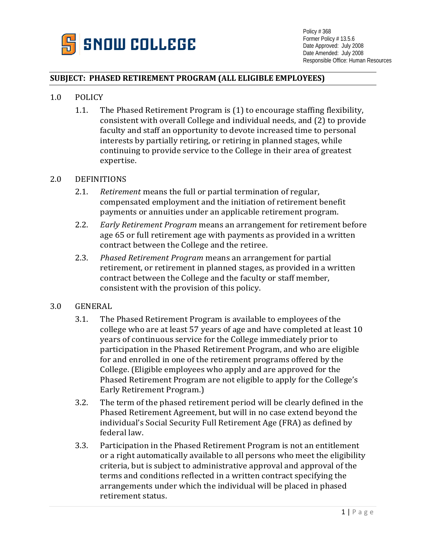

## **SUBJECT: PHASED RETIREMENT PROGRAM (ALL ELIGIBLE EMPLOYEES)**

- 1.0 POLICY
	- 1.1. The Phased Retirement Program is (1) to encourage staffing flexibility, consistent with overall College and individual needs, and (2) to provide faculty and staff an opportunity to devote increased time to personal interests by partially retiring, or retiring in planned stages, while continuing to provide service to the College in their area of greatest expertise.

#### 2.0 DEFINITIONS

- 2.1. *Retirement* means the full or partial termination of regular, compensated employment and the initiation of retirement benefit payments or annuities under an applicable retirement program.
- 2.2. *Early Retirement Program* means an arrangement for retirement before age 65 or full retirement age with payments as provided in a written contract between the College and the retiree.
- 2.3. *Phased Retirement Program* means an arrangement for partial retirement, or retirement in planned stages, as provided in a written contract between the College and the faculty or staff member, consistent with the provision of this policy.
- 3.0 GENERAL
	- 3.1. The Phased Retirement Program is available to employees of the college who are at least 57 years of age and have completed at least 10 years of continuous service for the College immediately prior to participation in the Phased Retirement Program, and who are eligible for and enrolled in one of the retirement programs offered by the College. (Eligible employees who apply and are approved for the Phased Retirement Program are not eligible to apply for the College's Early Retirement Program.)
	- 3.2. The term of the phased retirement period will be clearly defined in the Phased Retirement Agreement, but will in no case extend beyond the individual's Social Security Full Retirement Age (FRA) as defined by federal law.
	- 3.3. Participation in the Phased Retirement Program is not an entitlement or a right automatically available to all persons who meet the eligibility criteria, but is subject to administrative approval and approval of the terms and conditions reflected in a written contract specifying the arrangements under which the individual will be placed in phased retirement status.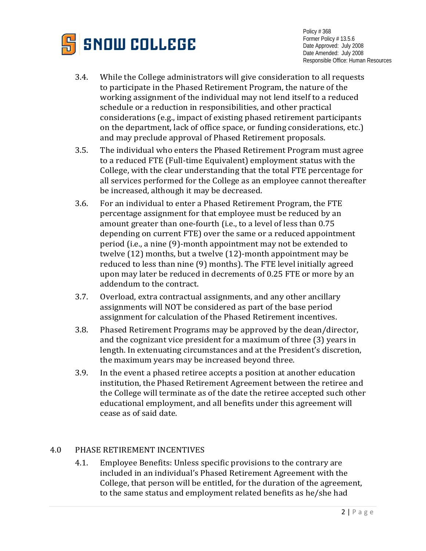

- 3.4. While the College administrators will give consideration to all requests to participate in the Phased Retirement Program, the nature of the working assignment of the individual may not lend itself to a reduced schedule or a reduction in responsibilities, and other practical considerations (e.g., impact of existing phased retirement participants on the department, lack of office space, or funding considerations, etc.) and may preclude approval of Phased Retirement proposals.
- 3.5. The individual who enters the Phased Retirement Program must agree to a reduced FTE (Full-time Equivalent) employment status with the College, with the clear understanding that the total FTE percentage for all services performed for the College as an employee cannot thereafter be increased, although it may be decreased.
- 3.6. For an individual to enter a Phased Retirement Program, the FTE percentage assignment for that employee must be reduced by an amount greater than one-fourth (i.e., to a level of less than 0.75 depending on current FTE) over the same or a reduced appointment period (i.e., a nine (9)-month appointment may not be extended to twelve (12) months, but a twelve (12)-month appointment may be reduced to less than nine (9) months). The FTE level initially agreed upon may later be reduced in decrements of 0.25 FTE or more by an addendum to the contract.
- 3.7. Overload, extra contractual assignments, and any other ancillary assignments will NOT be considered as part of the base period assignment for calculation of the Phased Retirement incentives.
- 3.8. Phased Retirement Programs may be approved by the dean/director, and the cognizant vice president for a maximum of three (3) years in length. In extenuating circumstances and at the President's discretion, the maximum years may be increased beyond three.
- 3.9. In the event a phased retiree accepts a position at another education institution, the Phased Retirement Agreement between the retiree and the College will terminate as of the date the retiree accepted such other educational employment, and all benefits under this agreement will cease as of said date.

# 4.0 PHASE RETIREMENT INCENTIVES

4.1. Employee Benefits: Unless specific provisions to the contrary are included in an individual's Phased Retirement Agreement with the College, that person will be entitled, for the duration of the agreement, to the same status and employment related benefits as he/she had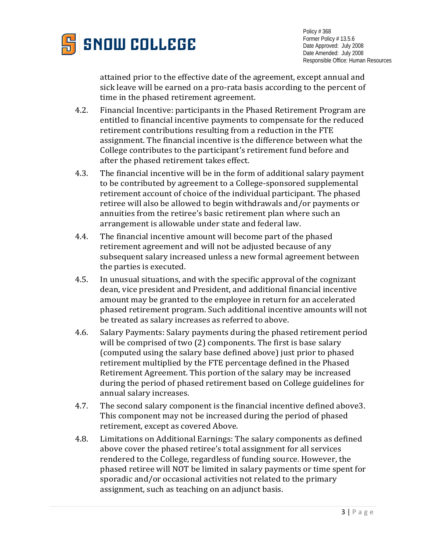

attained prior to the effective date of the agreement, except annual and sick leave will be earned on a pro-rata basis according to the percent of time in the phased retirement agreement.

- 4.2. Financial Incentive: participants in the Phased Retirement Program are entitled to financial incentive payments to compensate for the reduced retirement contributions resulting from a reduction in the FTE assignment. The financial incentive is the difference between what the College contributes to the participant's retirement fund before and after the phased retirement takes effect.
- 4.3. The financial incentive will be in the form of additional salary payment to be contributed by agreement to a College-sponsored supplemental retirement account of choice of the individual participant. The phased retiree will also be allowed to begin withdrawals and/or payments or annuities from the retiree's basic retirement plan where such an arrangement is allowable under state and federal law.
- 4.4. The financial incentive amount will become part of the phased retirement agreement and will not be adjusted because of any subsequent salary increased unless a new formal agreement between the parties is executed.
- 4.5. In unusual situations, and with the specific approval of the cognizant dean, vice president and President, and additional financial incentive amount may be granted to the employee in return for an accelerated phased retirement program. Such additional incentive amounts will not be treated as salary increases as referred to above.
- 4.6. Salary Payments: Salary payments during the phased retirement period will be comprised of two (2) components. The first is base salary (computed using the salary base defined above) just prior to phased retirement multiplied by the FTE percentage defined in the Phased Retirement Agreement. This portion of the salary may be increased during the period of phased retirement based on College guidelines for annual salary increases.
- 4.7. The second salary component is the financial incentive defined above3. This component may not be increased during the period of phased retirement, except as covered Above.
- 4.8. Limitations on Additional Earnings: The salary components as defined above cover the phased retiree's total assignment for all services rendered to the College, regardless of funding source. However, the phased retiree will NOT be limited in salary payments or time spent for sporadic and/or occasional activities not related to the primary assignment, such as teaching on an adjunct basis.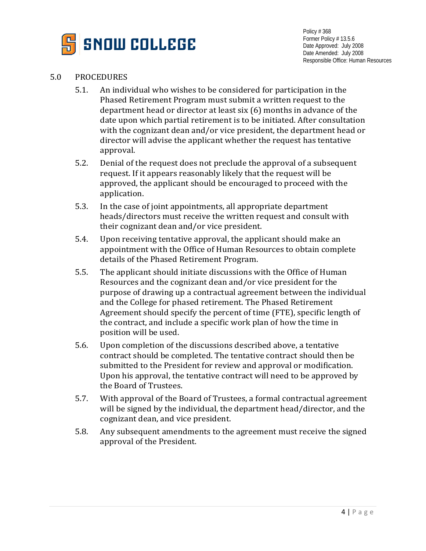

# 5.0 PROCEDURES

- 5.1. An individual who wishes to be considered for participation in the Phased Retirement Program must submit a written request to the department head or director at least six (6) months in advance of the date upon which partial retirement is to be initiated. After consultation with the cognizant dean and/or vice president, the department head or director will advise the applicant whether the request has tentative approval.
- 5.2. Denial of the request does not preclude the approval of a subsequent request. If it appears reasonably likely that the request will be approved, the applicant should be encouraged to proceed with the application.
- 5.3. In the case of joint appointments, all appropriate department heads/directors must receive the written request and consult with their cognizant dean and/or vice president.
- 5.4. Upon receiving tentative approval, the applicant should make an appointment with the Office of Human Resources to obtain complete details of the Phased Retirement Program.
- 5.5. The applicant should initiate discussions with the Office of Human Resources and the cognizant dean and/or vice president for the purpose of drawing up a contractual agreement between the individual and the College for phased retirement. The Phased Retirement Agreement should specify the percent of time (FTE), specific length of the contract, and include a specific work plan of how the time in position will be used.
- 5.6. Upon completion of the discussions described above, a tentative contract should be completed. The tentative contract should then be submitted to the President for review and approval or modification. Upon his approval, the tentative contract will need to be approved by the Board of Trustees.
- 5.7. With approval of the Board of Trustees, a formal contractual agreement will be signed by the individual, the department head/director, and the cognizant dean, and vice president.
- 5.8. Any subsequent amendments to the agreement must receive the signed approval of the President.